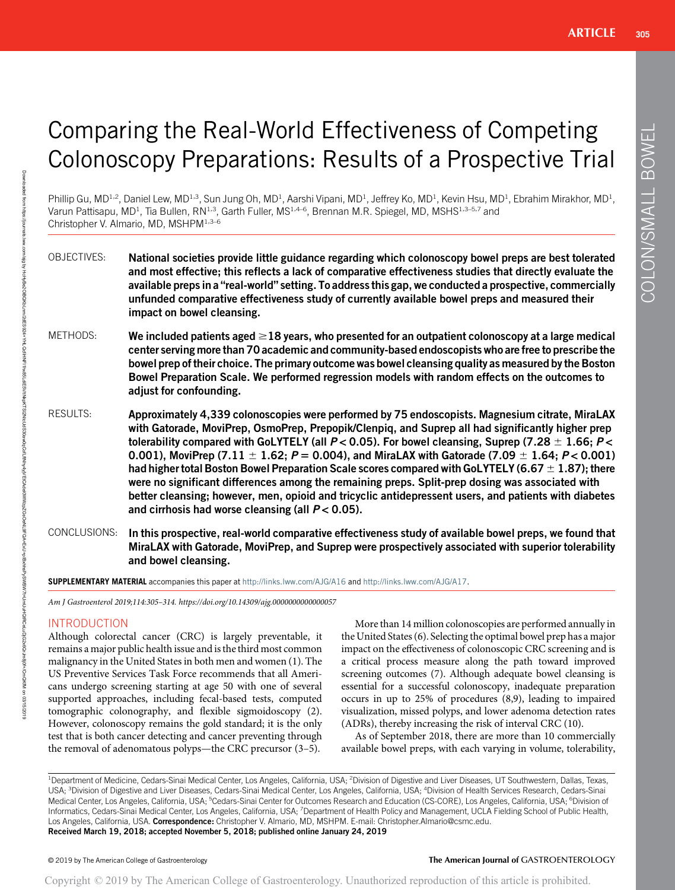Phillip Gu, MD<sup>1,2</sup>, Daniel Lew, MD<sup>1,3</sup>, Sun Jung Oh, MD<sup>1</sup>, Aarshi Vipani, MD<sup>1</sup>, Jeffrey Ko, MD<sup>1</sup>, Kevin Hsu, MD<sup>1</sup>, Ebrahim Mirakhor, MD<sup>1</sup>, Varun Pattisapu, MD<sup>1</sup>, Tia Bullen, RN<sup>1,3</sup>, Garth Fuller, MS<sup>1,4–6</sup>, Brennan M.R. Spiegel, MD, MSHS<sup>1,3–5,7</sup> and Christopher V. Almario, MD, MSHPM1,3–<sup>6</sup>

| <b>OBJECTIVES:</b> | National societies provide little guidance regarding which colonoscopy bowel preps are best tolerated<br>and most effective; this reflects a lack of comparative effectiveness studies that directly evaluate the<br>available preps in a "real-world" setting. To address this gap, we conducted a prospective, commercially<br>unfunded comparative effectiveness study of currently available bowel preps and measured their<br>impact on bowel cleansing.                                                                                                                                                                                                                                                                                                                                              |
|--------------------|------------------------------------------------------------------------------------------------------------------------------------------------------------------------------------------------------------------------------------------------------------------------------------------------------------------------------------------------------------------------------------------------------------------------------------------------------------------------------------------------------------------------------------------------------------------------------------------------------------------------------------------------------------------------------------------------------------------------------------------------------------------------------------------------------------|
| METHODS:           | We included patients aged $\geq$ 18 years, who presented for an outpatient colonoscopy at a large medical<br>center serving more than 70 academic and community-based endoscopists who are free to prescribe the<br>bowel prep of their choice. The primary outcome was bowel cleansing quality as measured by the Boston<br>Bowel Preparation Scale. We performed regression models with random effects on the outcomes to<br>adjust for confounding.                                                                                                                                                                                                                                                                                                                                                     |
| RESULTS:           | Approximately 4,339 colonoscopies were performed by 75 endoscopists. Magnesium citrate, MiraLAX<br>with Gatorade, MoviPrep, OsmoPrep, Prepopik/Clenpig, and Suprep all had significantly higher prep<br>tolerability compared with GoLYTELY (all $P < 0.05$ ). For bowel cleansing, Suprep (7.28 $\pm$ 1.66; P $<$<br>0.001), MoviPrep (7.11 $\pm$ 1.62; P = 0.004), and MiraLAX with Gatorade (7.09 $\pm$ 1.64; P < 0.001)<br>had higher total Boston Bowel Preparation Scale scores compared with GoLYTELY (6.67 $\pm$ 1.87); there<br>were no significant differences among the remaining preps. Split-prep dosing was associated with<br>better cleansing; however, men, opioid and tricyclic antidepressent users, and patients with diabetes<br>and cirrhosis had worse cleansing (all $P < 0.05$ ). |
| CONCLUSIONS:       | In this prospective, real-world comparative effectiveness study of available bowel preps, we found that<br>MiraLAX with Gatorade, MoviPrep, and Suprep were prospectively associated with superior tolerability                                                                                                                                                                                                                                                                                                                                                                                                                                                                                                                                                                                            |

SUPPLEMENTARY MATERIAL accompanies this paper at <http://links.lww.com/AJG/A16> and [http://links.lww.com/AJG/A17.](http://links.lww.com/AJG/A17)

Am J Gastroenterol 2019;114:305–314.<https://doi.org/10.14309/ajg.0000000000000057>

and bowel cleansing.

### INTRODUCTION

Downloaded from

https://journals.lww.com/ajg

হ

HcHyBe2OiBQKbHnHZHYHKBCdiE5V/tNkpKTSi2NtcUdS30aw0qcofLftNy4yyCFCAde0WWzpZGsOeNL9FQA+ExU+pIBxhtsPySWBW7t+UmBxhtsPySWBW7t+UHUuHQfRCeLuDjG2x6Qx1n=Bj8f+/CmQKfW

on 03/15/2019 Although colorectal cancer (CRC) is largely preventable, it remains a major public health issue and is the third most common malignancy in the United States in both men and women (1). The US Preventive Services Task Force recommends that all Americans undergo screening starting at age 50 with one of several supported approaches, including fecal-based tests, computed tomographic colonography, and flexible sigmoidoscopy (2). However, colonoscopy remains the gold standard; it is the only test that is both cancer detecting and cancer preventing through the removal of adenomatous polyps—the CRC precursor (3–5).

More than 14 million colonoscopies are performed annually in the United States (6). Selecting the optimal bowel prep has a major impact on the effectiveness of colonoscopic CRC screening and is a critical process measure along the path toward improved screening outcomes (7). Although adequate bowel cleansing is essential for a successful colonoscopy, inadequate preparation occurs in up to 25% of procedures (8,9), leading to impaired visualization, missed polyps, and lower adenoma detection rates (ADRs), thereby increasing the risk of interval CRC (10).

As of September 2018, there are more than 10 commercially available bowel preps, with each varying in volume, tolerability,

<sup>1</sup>Department of Medicine, Cedars-Sinai Medical Center, Los Angeles, California, USA; <sup>2</sup>Division of Digestive and Liver Diseases, UT Southwestern, Dallas, Texas, USA; <sup>3</sup>Division of Digestive and Liver Diseases, Cedars-Sinai Medical Center, Los Angeles, California, USA; <sup>4</sup>Division of Health Services Research, Cedars-Sinai Medical Center, Los Angeles, California, USA; <sup>5</sup>Cedars-Sinai Center for Outcomes Research and Education (CS-CORE), Los Angeles, California, USA; <sup>6</sup>Division of Informatics, Cedars-Sinai Medical Center, Los Angeles, California, USA; <sup>7</sup>Department of Health Policy and Management, UCLA Fielding School of Public Health, Los Angeles, California, USA. Correspondence: Christopher V. Almario, MD, MSHPM. E-mail: [Christopher.Almario@csmc.edu.](mailto:Christopher.Almario@csmc.edu) Received March 19, 2018; accepted November 5, 2018; published online January 24, 2019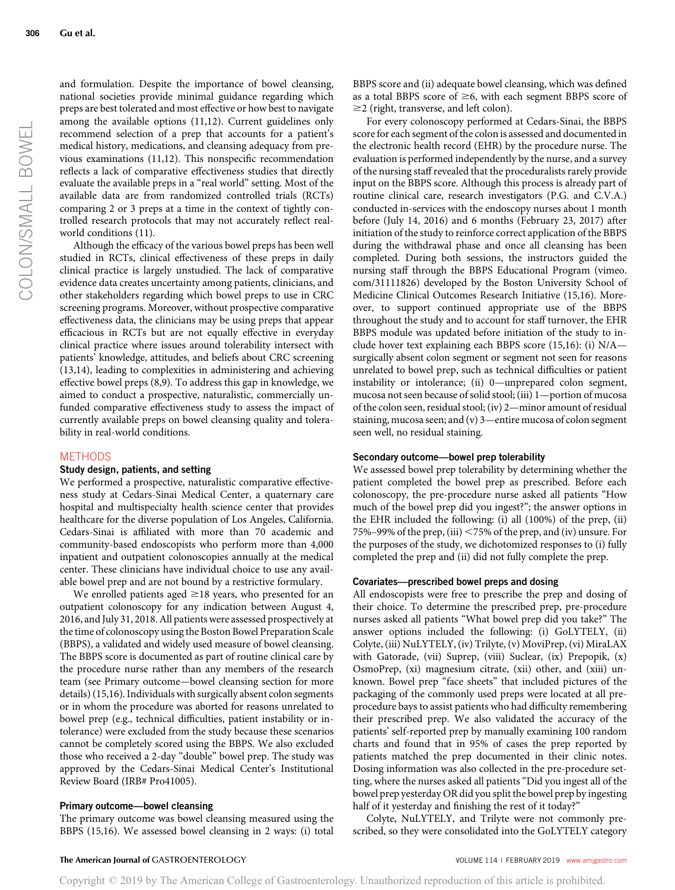and formulation. Despite the importance of bowel cleansing, national societies provide minimal guidance regarding which preps are best tolerated and most effective or how best to navigate among the available options (11,12). Current guidelines only recommend selection of a prep that accounts for a patient's medical history, medications, and cleansing adequacy from previous examinations (11,12). This nonspecific recommendation reflects a lack of comparative effectiveness studies that directly evaluate the available preps in a "real world" setting. Most of the available data are from randomized controlled trials (RCTs) comparing 2 or 3 preps at a time in the context of tightly controlled research protocols that may not accurately reflect realworld conditions (11).

Although the efficacy of the various bowel preps has been well studied in RCTs, clinical effectiveness of these preps in daily clinical practice is largely unstudied. The lack of comparative evidence data creates uncertainty among patients, clinicians, and other stakeholders regarding which bowel preps to use in CRC screening programs. Moreover, without prospective comparative effectiveness data, the clinicians may be using preps that appear efficacious in RCTs but are not equally effective in everyday clinical practice where issues around tolerability intersect with patients' knowledge, attitudes, and beliefs about CRC screening (13,14), leading to complexities in administering and achieving effective bowel preps (8,9). To address this gap in knowledge, we aimed to conduct a prospective, naturalistic, commercially unfunded comparative effectiveness study to assess the impact of currently available preps on bowel cleansing quality and tolerability in real-world conditions.

### METHODS

### Study design, patients, and setting

We performed a prospective, naturalistic comparative effectiveness study at Cedars-Sinai Medical Center, a quaternary care hospital and multispecialty health science center that provides healthcare for the diverse population of Los Angeles, California. Cedars-Sinai is affiliated with more than 70 academic and community-based endoscopists who perform more than 4,000 inpatient and outpatient colonoscopies annually at the medical center. These clinicians have individual choice to use any available bowel prep and are not bound by a restrictive formulary.

We enrolled patients aged  $\geq$ 18 years, who presented for an outpatient colonoscopy for any indication between August 4, 2016, and July 31, 2018. All patients were assessed prospectively at the time of colonoscopy using the Boston Bowel Preparation Scale (BBPS), a validated and widely used measure of bowel cleansing. The BBPS score is documented as part of routine clinical care by the procedure nurse rather than any members of the research team (see Primary outcome—bowel cleansing section for more details) (15,16). Individuals with surgically absent colon segments or in whom the procedure was aborted for reasons unrelated to bowel prep (e.g., technical difficulties, patient instability or intolerance) were excluded from the study because these scenarios cannot be completely scored using the BBPS. We also excluded those who received a 2-day "double" bowel prep. The study was approved by the Cedars-Sinai Medical Center's Institutional Review Board (IRB# Pro41005).

### Primary outcome—bowel cleansing

The primary outcome was bowel cleansing measured using the BBPS (15,16). We assessed bowel cleansing in 2 ways: (i) total BBPS score and (ii) adequate bowel cleansing, which was defined as a total BBPS score of  $\geq$ 6, with each segment BBPS score of  $\geq$  (right, transverse, and left colon).

For every colonoscopy performed at Cedars-Sinai, the BBPS score for each segment of the colon is assessed and documented in the electronic health record (EHR) by the procedure nurse. The evaluation is performed independently by the nurse, and a survey of the nursing staff revealed that the proceduralists rarely provide input on the BBPS score. Although this process is already part of routine clinical care, research investigators (P.G. and C.V.A.) conducted in-services with the endoscopy nurses about 1 month before (July 14, 2016) and 6 months (February 23, 2017) after initiation of the study to reinforce correct application of the BBPS during the withdrawal phase and once all cleansing has been completed. During both sessions, the instructors guided the nursing staff through the BBPS Educational Program [\(vimeo.](https://vimeo.com/31111826) [com/31111826](https://vimeo.com/31111826)) developed by the Boston University School of Medicine Clinical Outcomes Research Initiative (15,16). Moreover, to support continued appropriate use of the BBPS throughout the study and to account for staff turnover, the EHR BBPS module was updated before initiation of the study to include hover text explaining each BBPS score (15,16): (i) N/A surgically absent colon segment or segment not seen for reasons unrelated to bowel prep, such as technical difficulties or patient instability or intolerance; (ii) 0—unprepared colon segment, mucosa not seen because of solid stool; (iii) 1—portion of mucosa of the colon seen, residual stool; (iv) 2—minor amount of residual staining, mucosa seen; and (v) 3—entire mucosa of colon segment seen well, no residual staining.

### Secondary outcome—bowel prep tolerability

We assessed bowel prep tolerability by determining whether the patient completed the bowel prep as prescribed. Before each colonoscopy, the pre-procedure nurse asked all patients "How much of the bowel prep did you ingest?"; the answer options in the EHR included the following: (i) all (100%) of the prep, (ii) 75%–99% of the prep, (iii)  $<$  75% of the prep, and (iv) unsure. For the purposes of the study, we dichotomized responses to (i) fully completed the prep and (ii) did not fully complete the prep.

### Covariates—prescribed bowel preps and dosing

All endoscopists were free to prescribe the prep and dosing of their choice. To determine the prescribed prep, pre-procedure nurses asked all patients "What bowel prep did you take?" The answer options included the following: (i) GoLYTELY, (ii) Colyte, (iii) NuLYTELY, (iv) Trilyte, (v) MoviPrep, (vi) MiraLAX with Gatorade, (vii) Suprep, (viii) Suclear, (ix) Prepopik, (x) OsmoPrep, (xi) magnesium citrate, (xii) other, and (xiii) unknown. Bowel prep "face sheets" that included pictures of the packaging of the commonly used preps were located at all preprocedure bays to assist patients who had difficulty remembering their prescribed prep. We also validated the accuracy of the patients' self-reported prep by manually examining 100 random charts and found that in 95% of cases the prep reported by patients matched the prep documented in their clinic notes. Dosing information was also collected in the pre-procedure setting, where the nurses asked all patients "Did you ingest all of the bowel prep yesterday OR did you split the bowel prep by ingesting half of it yesterday and finishing the rest of it today?"

Colyte, NuLYTELY, and Trilyte were not commonly prescribed, so they were consolidated into the GoLYTELY category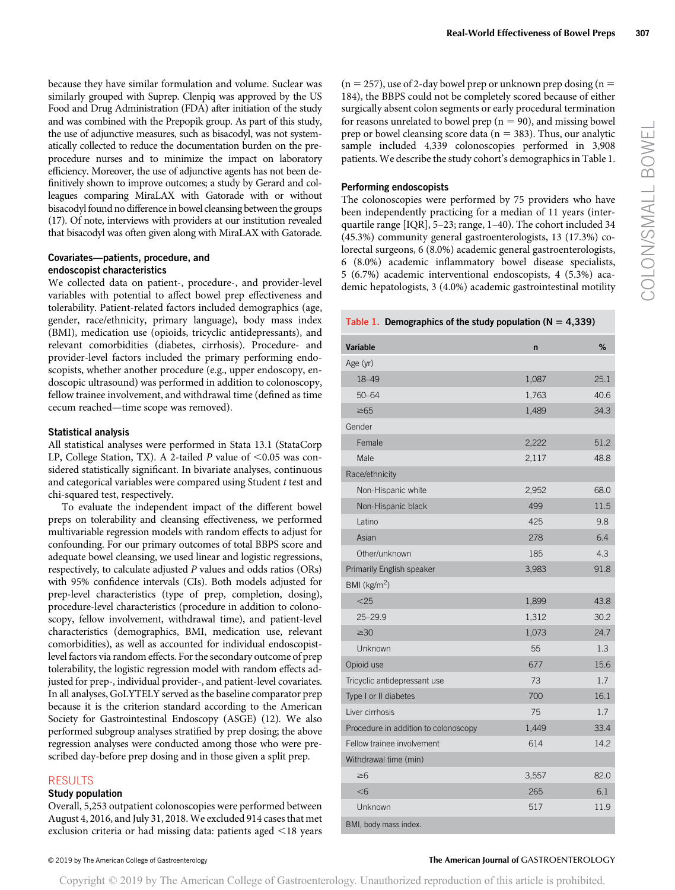because they have similar formulation and volume. Suclear was similarly grouped with Suprep. Clenpiq was approved by the US Food and Drug Administration (FDA) after initiation of the study and was combined with the Prepopik group. As part of this study, the use of adjunctive measures, such as bisacodyl, was not systematically collected to reduce the documentation burden on the preprocedure nurses and to minimize the impact on laboratory efficiency. Moreover, the use of adjunctive agents has not been definitively shown to improve outcomes; a study by Gerard and colleagues comparing MiraLAX with Gatorade with or without bisacodyl found no difference in bowel cleansing between the groups (17). Of note, interviews with providers at our institution revealed that bisacodyl was often given along with MiraLAX with Gatorade.

### Covariates—patients, procedure, and endoscopist characteristics

We collected data on patient-, procedure-, and provider-level variables with potential to affect bowel prep effectiveness and tolerability. Patient-related factors included demographics (age, gender, race/ethnicity, primary language), body mass index (BMI), medication use (opioids, tricyclic antidepressants), and relevant comorbidities (diabetes, cirrhosis). Procedure- and provider-level factors included the primary performing endoscopists, whether another procedure (e.g., upper endoscopy, endoscopic ultrasound) was performed in addition to colonoscopy, fellow trainee involvement, and withdrawal time (defined as time cecum reached—time scope was removed).

### Statistical analysis

All statistical analyses were performed in Stata 13.1 (StataCorp LP, College Station, TX). A 2-tailed P value of  $< 0.05$  was considered statistically significant. In bivariate analyses, continuous and categorical variables were compared using Student t test and chi-squared test, respectively.

To evaluate the independent impact of the different bowel preps on tolerability and cleansing effectiveness, we performed multivariable regression models with random effects to adjust for confounding. For our primary outcomes of total BBPS score and adequate bowel cleansing, we used linear and logistic regressions, respectively, to calculate adjusted P values and odds ratios (ORs) with 95% confidence intervals (CIs). Both models adjusted for prep-level characteristics (type of prep, completion, dosing), procedure-level characteristics (procedure in addition to colonoscopy, fellow involvement, withdrawal time), and patient-level characteristics (demographics, BMI, medication use, relevant comorbidities), as well as accounted for individual endoscopistlevel factors via random effects. For the secondary outcome of prep tolerability, the logistic regression model with random effects adjusted for prep-, individual provider-, and patient-level covariates. In all analyses, GoLYTELY served as the baseline comparator prep because it is the criterion standard according to the American Society for Gastrointestinal Endoscopy (ASGE) (12). We also performed subgroup analyses stratified by prep dosing; the above regression analyses were conducted among those who were prescribed day-before prep dosing and in those given a split prep.

# RESULTS

### Study population

Overall, 5,253 outpatient colonoscopies were performed between August 4, 2016, and July 31, 2018. We excluded 914 cases that met exclusion criteria or had missing data: patients aged  $\leq$ 18 years

 $(n = 257)$ , use of 2-day bowel prep or unknown prep dosing  $(n = 157)$ 184), the BBPS could not be completely scored because of either surgically absent colon segments or early procedural termination for reasons unrelated to bowel prep ( $n = 90$ ), and missing bowel prep or bowel cleansing score data ( $n = 383$ ). Thus, our analytic sample included 4,339 colonoscopies performed in 3,908 patients. We describe the study cohort's demographics in Table 1.

# Performing endoscopists

The colonoscopies were performed by 75 providers who have been independently practicing for a median of 11 years (interquartile range [IQR], 5–23; range, 1–40). The cohort included 34 (45.3%) community general gastroenterologists, 13 (17.3%) colorectal surgeons, 6 (8.0%) academic general gastroenterologists, 6 (8.0%) academic inflammatory bowel disease specialists, 5 (6.7%) academic interventional endoscopists, 4 (5.3%) academic hepatologists, 3 (4.0%) academic gastrointestinal motility

### Table 1. Demographics of the study population ( $N = 4,339$ )

| <b>Variable</b>                      | $\mathsf{n}$ | %    |
|--------------------------------------|--------------|------|
| Age (yr)                             |              |      |
| 18-49                                | 1,087        | 25.1 |
| $50 - 64$                            | 1,763        | 40.6 |
| $\geq 65$                            | 1,489        | 34.3 |
| Gender                               |              |      |
| Female                               | 2,222        | 51.2 |
| Male                                 | 2,117        | 48.8 |
| Race/ethnicity                       |              |      |
| Non-Hispanic white                   | 2,952        | 68.0 |
| Non-Hispanic black                   | 499          | 11.5 |
| Latino                               | 425          | 9.8  |
| Asian                                | 278          | 6.4  |
| Other/unknown                        | 185          | 4.3  |
| Primarily English speaker            | 3,983        | 91.8 |
| BMI ( $kg/m2$ )                      |              |      |
| $<$ 25                               | 1,899        | 43.8 |
| $25 - 29.9$                          | 1,312        | 30.2 |
| $\geq 30$                            | 1,073        | 24.7 |
| Unknown                              | 55           | 1.3  |
| Opioid use                           | 677          | 15.6 |
| Tricyclic antidepressant use         | 73           | 1.7  |
| Type I or II diabetes                | 700          | 16.1 |
| Liver cirrhosis                      | 75           | 1.7  |
| Procedure in addition to colonoscopy | 1,449        | 33.4 |
| Fellow trainee involvement           | 614          | 14.2 |
| Withdrawal time (min)                |              |      |
| $\geq 6$                             | 3,557        | 82.0 |
| $<$ 6                                | 265          | 6.1  |
| Unknown                              | 517          | 11.9 |
| BMI, body mass index.                |              |      |

### © 2019 by The American College of Gastroenterology The American Journal of GASTROENTEROLOGY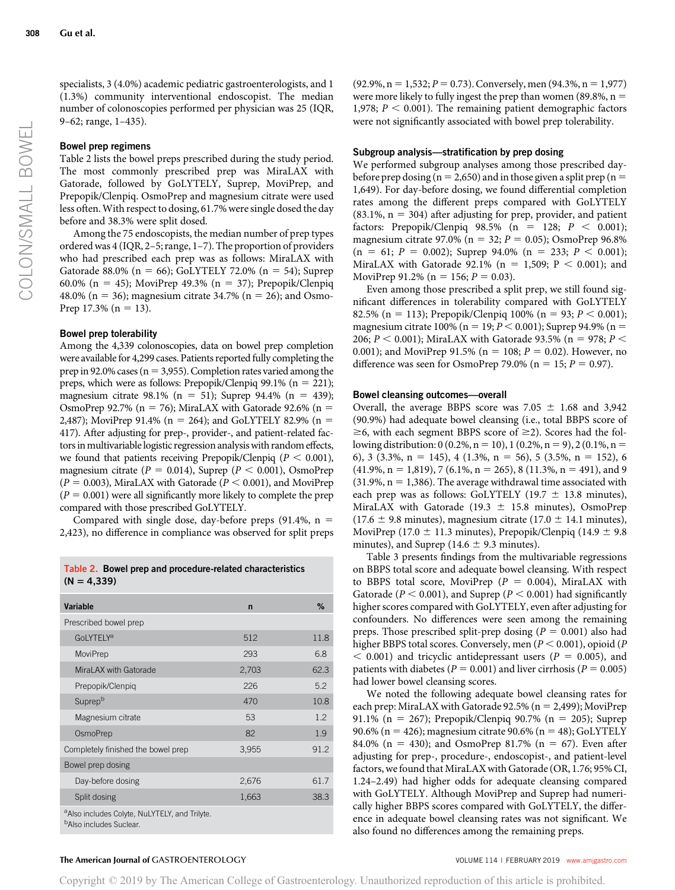specialists, 3 (4.0%) academic pediatric gastroenterologists, and 1 (1.3%) community interventional endoscopist. The median number of colonoscopies performed per physician was 25 (IQR, 9–62; range, 1–435).

### Bowel prep regimens

Table 2 lists the bowel preps prescribed during the study period. The most commonly prescribed prep was MiraLAX with Gatorade, followed by GoLYTELY, Suprep, MoviPrep, and Prepopik/Clenpiq. OsmoPrep and magnesium citrate were used less often.With respect to dosing, 61.7% were single dosed the day before and 38.3% were split dosed.

Among the 75 endoscopists, the median number of prep types ordered was 4 (IQR, 2–5; range, 1–7). The proportion of providers who had prescribed each prep was as follows: MiraLAX with Gatorade 88.0% ( $n = 66$ ); GoLYTELY 72.0% ( $n = 54$ ); Suprep 60.0% (n = 45); MoviPrep 49.3% (n = 37); Prepopik/Clenpiq 48.0% (n = 36); magnesium citrate 34.7% (n = 26); and Osmo-Prep 17.3% ( $n = 13$ ).

### Bowel prep tolerability

Among the 4,339 colonoscopies, data on bowel prep completion were available for 4,299 cases. Patients reported fully completing the prep in 92.0% cases ( $n = 3,955$ ). Completion rates varied among the preps, which were as follows: Prepopik/Clenpiq 99.1% ( $n = 221$ ); magnesium citrate 98.1% (n = 51); Suprep 94.4% (n = 439); OsmoPrep 92.7% ( $n = 76$ ); MiraLAX with Gatorade 92.6% ( $n =$ 2,487); MoviPrep 91.4% (n = 264); and GoLYTELY 82.9% (n = 417). After adjusting for prep-, provider-, and patient-related factors in multivariable logistic regression analysis with random effects, we found that patients receiving Prepopik/Clenpiq ( $P < 0.001$ ), magnesium citrate ( $P = 0.014$ ), Suprep ( $P < 0.001$ ), OsmoPrep  $(P = 0.003)$ , MiraLAX with Gatorade  $(P < 0.001)$ , and MoviPrep  $(P = 0.001)$  were all significantly more likely to complete the prep compared with those prescribed GoLYTELY.

Compared with single dose, day-before preps (91.4%,  $n =$ 2,423), no difference in compliance was observed for split preps

## Table 2. Bowel prep and procedure-related characteristics  $(N = 4,339)$

| Variable                                                                                         | $\mathsf{n}$ | $\%$ |
|--------------------------------------------------------------------------------------------------|--------------|------|
| Prescribed bowel prep                                                                            |              |      |
| GoLYTELY <sup>a</sup>                                                                            | 512          | 11.8 |
| <b>MoviPrep</b>                                                                                  | 293          | 6.8  |
| Miral AX with Gatorade                                                                           | 2,703        | 62.3 |
| Prepopik/Clenpig                                                                                 | 226          | 5.2  |
| Suprepb                                                                                          | 470          | 10.8 |
| Magnesium citrate                                                                                | 53           | 1.2  |
| OsmoPrep                                                                                         | 82           | 1.9  |
| Completely finished the bowel prep                                                               | 3,955        | 91.2 |
| Bowel prep dosing                                                                                |              |      |
| Day-before dosing                                                                                | 2,676        | 61.7 |
| Split dosing                                                                                     | 1,663        | 38.3 |
| <sup>a</sup> Also includes Colyte, NuLYTELY, and Trilyte.<br><sup>b</sup> Also includes Suclear. |              |      |

 $(92.9\%, n = 1,532; P = 0.73)$ . Conversely, men  $(94.3\%, n = 1,977)$ were more likely to fully ingest the prep than women (89.8%,  $n =$ 1,978;  $P < 0.001$ ). The remaining patient demographic factors were not significantly associated with bowel prep tolerability.

### Subgroup analysis—stratification by prep dosing

We performed subgroup analyses among those prescribed daybefore prep dosing ( $n = 2,650$ ) and in those given a split prep ( $n =$ 1,649). For day-before dosing, we found differential completion rates among the different preps compared with GoLYTELY  $(83.1\%, n = 304)$  after adjusting for prep, provider, and patient factors: Prepopik/Clenpiq 98.5% (n = 128;  $P < 0.001$ ); magnesium citrate 97.0% (n = 32;  $P = 0.05$ ); OsmoPrep 96.8%  $(n = 61; P = 0.002)$ ; Suprep 94.0%  $(n = 233; P < 0.001)$ ; MiraLAX with Gatorade 92.1% ( $n = 1,509$ ;  $P < 0.001$ ); and MoviPrep 91.2% (n = 156;  $P = 0.03$ ).

Even among those prescribed a split prep, we still found significant differences in tolerability compared with GoLYTELY 82.5% (n = 113); Prepopik/Clenpiq 100% (n = 93;  $P < 0.001$ ); magnesium citrate 100% (n = 19;  $P < 0.001$ ); Suprep 94.9% (n = 206;  $P < 0.001$ ); MiraLAX with Gatorade 93.5% (n = 978;  $P <$ 0.001); and MoviPrep 91.5% ( $n = 108$ ;  $P = 0.02$ ). However, no difference was seen for OsmoPrep 79.0% (n = 15;  $P = 0.97$ ).

### Bowel cleansing outcomes—overall

Overall, the average BBPS score was 7.05  $\pm$  1.68 and 3,942 (90.9%) had adequate bowel cleansing (i.e., total BBPS score of  $\geq$ 6, with each segment BBPS score of  $\geq$ 2). Scores had the following distribution: 0 (0.2%, n = 10), 1 (0.2%, n = 9), 2 (0.1%, n = 6), 3 (3.3%, n = 145), 4 (1.3%, n = 56), 5 (3.5%, n = 152), 6  $(41.9\%, n = 1,819), 7 (6.1\%, n = 265), 8 (11.3\%, n = 491), \text{and } 9$  $(31.9\%, n = 1,386)$ . The average withdrawal time associated with each prep was as follows: GoLYTELY (19.7  $\pm$  13.8 minutes), MiraLAX with Gatorade (19.3  $\pm$  15.8 minutes), OsmoPrep (17.6  $\pm$  9.8 minutes), magnesium citrate (17.0  $\pm$  14.1 minutes), MoviPrep (17.0  $\pm$  11.3 minutes), Prepopik/Clenpiq (14.9  $\pm$  9.8 minutes), and Suprep (14.6  $\pm$  9.3 minutes).

Table 3 presents findings from the multivariable regressions on BBPS total score and adequate bowel cleansing. With respect to BBPS total score, MoviPrep ( $P = 0.004$ ), MiraLAX with Gatorade ( $P < 0.001$ ), and Suprep ( $P < 0.001$ ) had significantly higher scores compared with GoLYTELY, even after adjusting for confounders. No differences were seen among the remaining preps. Those prescribed split-prep dosing ( $P = 0.001$ ) also had higher BBPS total scores. Conversely, men ( $P < 0.001$ ), opioid (P  $<$  0.001) and tricyclic antidepressant users ( $P = 0.005$ ), and patients with diabetes ( $P = 0.001$ ) and liver cirrhosis ( $P = 0.005$ ) had lower bowel cleansing scores.

We noted the following adequate bowel cleansing rates for each prep: MiraLAX with Gatorade 92.5% ( $n = 2,499$ ); MoviPrep 91.1% (n = 267); Prepopik/Clenpiq 90.7% (n = 205); Suprep 90.6% (n = 426); magnesium citrate 90.6% (n = 48); GoLYTELY 84.0% (n = 430); and OsmoPrep 81.7% (n = 67). Even after adjusting for prep-, procedure-, endoscopist-, and patient-level factors, we found that MiraLAX with Gatorade (OR, 1.76; 95% CI, 1.24–2.49) had higher odds for adequate cleansing compared with GoLYTELY. Although MoviPrep and Suprep had numerically higher BBPS scores compared with GoLYTELY, the difference in adequate bowel cleansing rates was not significant. We also found no differences among the remaining preps.

### The American Journal of GASTROENTEROLOGY **Annual American Journal of GASTROENTEROLOGY VOLUME 114 | FEBRUARY 2019** [www.amjgastro.com](http://www.amjgastro.com)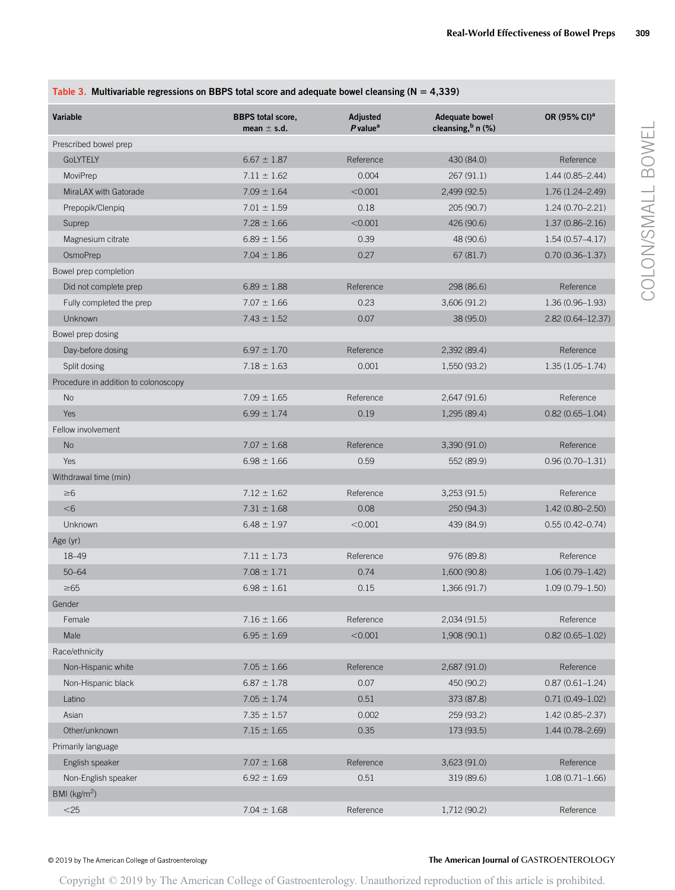Table 3. Multivariable regressions on BBPS total score and adequate bowel cleansing ( $N = 4,339$ )

| Variable                             | <b>BBPS</b> total score,<br>mean $\pm$ s.d. | Adjusted<br>$P$ value <sup>a</sup> | <b>Adequate bowel</b><br>cleansing, <sup>b</sup> n (%) | OR (95% CI) <sup>a</sup> |
|--------------------------------------|---------------------------------------------|------------------------------------|--------------------------------------------------------|--------------------------|
| Prescribed bowel prep                |                                             |                                    |                                                        |                          |
| <b>GoLYTELY</b>                      | $6.67 \pm 1.87$                             | Reference                          | 430 (84.0)                                             | Reference                |
| MoviPrep                             | $7.11 \pm 1.62$                             | 0.004                              | 267 (91.1)                                             | $1.44(0.85 - 2.44)$      |
| MiraLAX with Gatorade                | $7.09 \pm 1.64$                             | < 0.001                            | 2,499 (92.5)                                           | $1.76(1.24 - 2.49)$      |
| Prepopik/Clenpig                     | $7.01 \pm 1.59$                             | 0.18                               | 205 (90.7)                                             | $1.24(0.70 - 2.21)$      |
| Suprep                               | $7.28 \pm 1.66$                             | < 0.001                            | 426 (90.6)                                             | $1.37(0.86 - 2.16)$      |
| Magnesium citrate                    | $6.89 \pm 1.56$                             | 0.39                               | 48 (90.6)                                              | $1.54(0.57 - 4.17)$      |
| OsmoPrep                             | $7.04 \pm 1.86$                             | 0.27                               | 67 (81.7)                                              | $0.70(0.36 - 1.37)$      |
| Bowel prep completion                |                                             |                                    |                                                        |                          |
| Did not complete prep                | $6.89 \pm 1.88$                             | Reference                          | 298 (86.6)                                             | Reference                |
| Fully completed the prep             | $7.07 \pm 1.66$                             | 0.23                               | 3,606 (91.2)                                           | $1.36(0.96 - 1.93)$      |
| <b>Unknown</b>                       | $7.43 \pm 1.52$                             | 0.07                               | 38 (95.0)                                              | 2.82 (0.64-12.37)        |
| Bowel prep dosing                    |                                             |                                    |                                                        |                          |
| Day-before dosing                    | $6.97 \pm 1.70$                             | Reference                          | 2,392(89.4)                                            | Reference                |
| Split dosing                         | $7.18 \pm 1.63$                             | 0.001                              | 1,550 (93.2)                                           | $1.35(1.05 - 1.74)$      |
| Procedure in addition to colonoscopy |                                             |                                    |                                                        |                          |
| <b>No</b>                            | $7.09 \pm 1.65$                             | Reference                          | 2,647 (91.6)                                           | Reference                |
| <b>Yes</b>                           | $6.99 \pm 1.74$                             | 0.19                               | 1,295 (89.4)                                           | $0.82(0.65 - 1.04)$      |
| Fellow involvement                   |                                             |                                    |                                                        |                          |
| <b>No</b>                            | $7.07 \pm 1.68$                             | Reference                          | 3,390(91.0)                                            | Reference                |
| Yes                                  | $6.98 \pm 1.66$                             | 0.59                               | 552 (89.9)                                             | $0.96(0.70 - 1.31)$      |
| Withdrawal time (min)                |                                             |                                    |                                                        |                          |
| $\geq 6$                             | $7.12 \pm 1.62$                             | Reference                          | 3,253(91.5)                                            | Reference                |
| < 6                                  | $7.31 \pm 1.68$                             | 0.08                               | 250 (94.3)                                             | $1.42(0.80 - 2.50)$      |
| Unknown                              | $6.48 \pm 1.97$                             | < 0.001                            | 439 (84.9)                                             | $0.55(0.42 - 0.74)$      |
| Age (yr)                             |                                             |                                    |                                                        |                          |
| 18-49                                | $7.11 \pm 1.73$                             | Reference                          | 976 (89.8)                                             | Reference                |
| $50 - 64$                            | $7.08 \pm 1.71$                             | 0.74                               | 1,600 (90.8)                                           | $1.06(0.79 - 1.42)$      |
| $\geq 65$                            | $6.98 \pm 1.61$                             | 0.15                               | 1,366 (91.7)                                           | $1.09(0.79 - 1.50)$      |
| Gender                               |                                             |                                    |                                                        |                          |
| Female                               | $7.16 \pm 1.66$                             | Reference                          | 2,034 (91.5)                                           | Reference                |
| Male                                 | $6.95 \pm 1.69$                             | < 0.001                            | 1,908 (90.1)                                           | $0.82(0.65 - 1.02)$      |
| Race/ethnicity                       |                                             |                                    |                                                        |                          |
| Non-Hispanic white                   | $7.05 \pm 1.66$                             | Reference                          | 2,687 (91.0)                                           | Reference                |
| Non-Hispanic black                   | $6.87 \pm 1.78$                             | 0.07                               | 450 (90.2)                                             | $0.87(0.61 - 1.24)$      |
| Latino                               | $7.05 \pm 1.74$                             | 0.51                               | 373 (87.8)                                             | $0.71(0.49 - 1.02)$      |
| Asian                                | $7.35 \pm 1.57$                             | 0.002                              | 259 (93.2)                                             | 1.42 (0.85-2.37)         |
| Other/unknown                        | $7.15 \pm 1.65$                             | 0.35                               | 173 (93.5)                                             | $1.44(0.78 - 2.69)$      |
| Primarily language                   |                                             |                                    |                                                        |                          |
| English speaker                      | $7.07 \pm 1.68$                             | Reference                          | 3,623 (91.0)                                           | Reference                |
| Non-English speaker                  | $6.92 \pm 1.69$                             | 0.51                               | 319 (89.6)                                             | $1.08(0.71 - 1.66)$      |
| BMI (kg/m <sup>2</sup> )             |                                             |                                    |                                                        |                          |
| $<$ 25                               | $7.04 \pm 1.68$                             | Reference                          | 1,712 (90.2)                                           | Reference                |

### © 2019 by The American College of Gastroenterology The American Journal of GASTROENTEROLOGY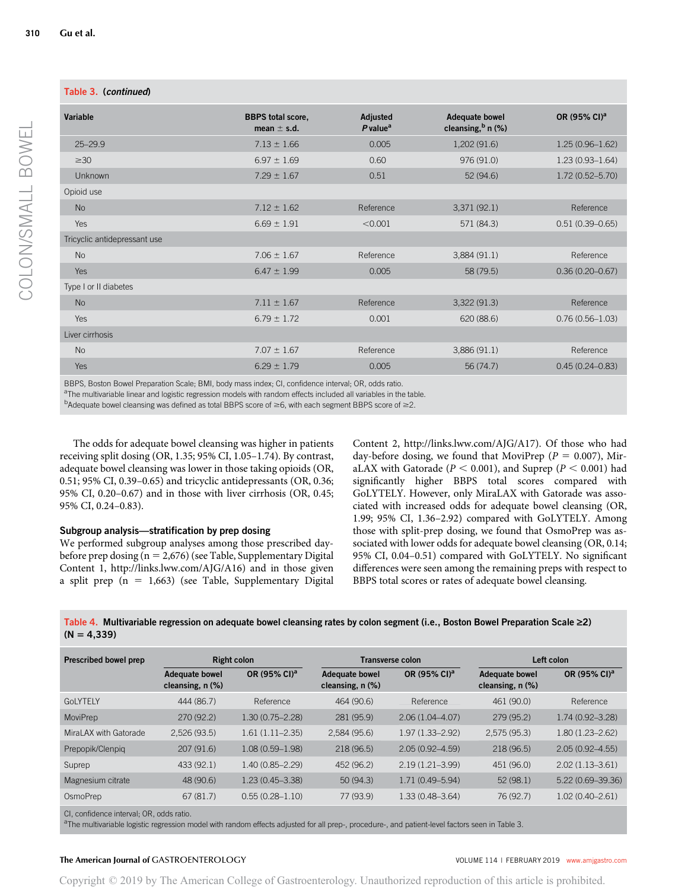# Table 3. (continued)

| <b>BBPS</b> total score,<br>mean $\pm$ s.d. | Adjusted<br>$P$ value <sup>a</sup> | <b>Adequate bowel</b><br>cleansing, $b$ n (%) | OR (95% CI) <sup>a</sup> |
|---------------------------------------------|------------------------------------|-----------------------------------------------|--------------------------|
| $7.13 \pm 1.66$                             | 0.005                              | 1,202 (91.6)                                  | $1.25(0.96 - 1.62)$      |
| $6.97 \pm 1.69$                             | 0.60                               | 976 (91.0)                                    | $1.23(0.93 - 1.64)$      |
| $7.29 \pm 1.67$                             | 0.51                               | 52 (94.6)                                     | $1.72(0.52 - 5.70)$      |
|                                             |                                    |                                               |                          |
| $7.12 \pm 1.62$                             | Reference                          | 3,371(92.1)                                   | Reference                |
| $6.69 \pm 1.91$                             | < 0.001                            | 571 (84.3)                                    | $0.51(0.39 - 0.65)$      |
|                                             |                                    |                                               |                          |
| $7.06 \pm 1.67$                             | Reference                          | 3,884(91.1)                                   | Reference                |
| $6.47 \pm 1.99$                             | 0.005                              | 58 (79.5)                                     | $0.36(0.20 - 0.67)$      |
|                                             |                                    |                                               |                          |
| $7.11 \pm 1.67$                             | Reference                          | 3,322(91.3)                                   | Reference                |
| $6.79 \pm 1.72$                             | 0.001                              | 620 (88.6)                                    | $0.76(0.56 - 1.03)$      |
|                                             |                                    |                                               |                          |
| $7.07 \pm 1.67$                             | Reference                          | 3,886 (91.1)                                  | Reference                |
| $6.29 \pm 1.79$                             | 0.005                              | 56 (74.7)                                     | $0.45(0.24 - 0.83)$      |
|                                             |                                    |                                               |                          |

BBPS, Boston Bowel Preparation Scale; BMI, body mass index; CI, confidence interval; OR, odds ratio.

<sup>a</sup>The multivariable linear and logistic regression models with random effects included all variables in the table.

 $b$ Adequate bowel cleansing was defined as total BBPS score of  $\geq 6$ , with each segment BBPS score of  $\geq 2$ .

The odds for adequate bowel cleansing was higher in patients receiving split dosing (OR, 1.35; 95% CI, 1.05–1.74). By contrast, adequate bowel cleansing was lower in those taking opioids (OR, 0.51; 95% CI, 0.39–0.65) and tricyclic antidepressants (OR, 0.36; 95% CI, 0.20–0.67) and in those with liver cirrhosis (OR, 0.45; 95% CI, 0.24–0.83).

### Subgroup analysis—stratification by prep dosing

We performed subgroup analyses among those prescribed daybefore prep dosing ( $n = 2,676$ ) (see Table, Supplementary Digital Content 1, [http://links.lww.com/AJG/A16\)](http://links.lww.com/AJG/A16) and in those given a split prep ( $n = 1,663$ ) (see Table, Supplementary Digital Content 2, http://links.lww.com/AJG/A17). Of those who had day-before dosing, we found that MoviPrep ( $P = 0.007$ ), MiraLAX with Gatorade ( $P < 0.001$ ), and Suprep ( $P < 0.001$ ) had significantly higher BBPS total scores compared with GoLYTELY. However, only MiraLAX with Gatorade was associated with increased odds for adequate bowel cleansing (OR, 1.99; 95% CI, 1.36–2.92) compared with GoLYTELY. Among those with split-prep dosing, we found that OsmoPrep was associated with lower odds for adequate bowel cleansing (OR, 0.14; 95% CI, 0.04–0.51) compared with GoLYTELY. No significant differences were seen among the remaining preps with respect to BBPS total scores or rates of adequate bowel cleansing.

Table 4. Multivariable regression on adequate bowel cleansing rates by colon segment (i.e., Boston Bowel Preparation Scale ≥2)  $(N = 4,339)$ 

| <b>Right colon</b>                        |                                     | <b>Transverse colon</b>                        |                          | Left colon                                     |                          |
|-------------------------------------------|-------------------------------------|------------------------------------------------|--------------------------|------------------------------------------------|--------------------------|
| <b>Adequate bowel</b><br>cleansing, n (%) | OR (95% CI) <sup>a</sup>            | <b>Adequate bowel</b><br>cleansing, $n$ $(\%)$ | OR (95% CI) <sup>a</sup> | <b>Adequate bowel</b><br>cleansing, $n$ $(\%)$ | OR (95% CI) <sup>a</sup> |
| 444 (86.7)                                | Reference                           | 464 (90.6)                                     | Reference                | 461 (90.0)                                     | Reference                |
| 270 (92.2)                                | $1.30(0.75 - 2.28)$                 | 281 (95.9)                                     | $2.06(1.04 - 4.07)$      | 279 (95.2)                                     | $1.74(0.92 - 3.28)$      |
| 2,526(93.5)                               | $1.61(1.11 - 2.35)$                 | 2,584 (95.6)                                   | $1.97(1.33 - 2.92)$      | 2,575(95.3)                                    | $1.80(1.23 - 2.62)$      |
| 207 (91.6)                                | $1.08(0.59 - 1.98)$                 | 218 (96.5)                                     | $2.05(0.92 - 4.59)$      | 218(96.5)                                      | $2.05(0.92 - 4.55)$      |
| 433 (92.1)                                | $1.40(0.85 - 2.29)$                 | 452 (96.2)                                     | $2.19(1.21 - 3.99)$      | 451 (96.0)                                     | $2.02(1.13 - 3.61)$      |
| 48 (90.6)                                 | $1.23(0.45 - 3.38)$                 | 50(94.3)                                       | 1.71 (0.49-5.94)         | 52(98.1)                                       | $5.22(0.69 - 39.36)$     |
| 67 (81.7)                                 |                                     | 77 (93.9)                                      | $1.33(0.48 - 3.64)$      | 76 (92.7)                                      | $1.02(0.40 - 2.61)$      |
|                                           | Classfidence internal OD adde ratio | $0.55(0.28 - 1.10)$                            |                          |                                                |                          |

CI, confidence interval; OR, odds ratio.

<sup>a</sup>The multivariable logistic regression model with random effects adjusted for all prep-, procedure-, and patient-level factors seen in Table 3.

### The American Journal of GASTROENTEROLOGY **Annual American Journal of GASTROENTEROLOGY VOLUME 114 | FEBRUARY 2019** [www.amjgastro.com](http://www.amjgastro.com)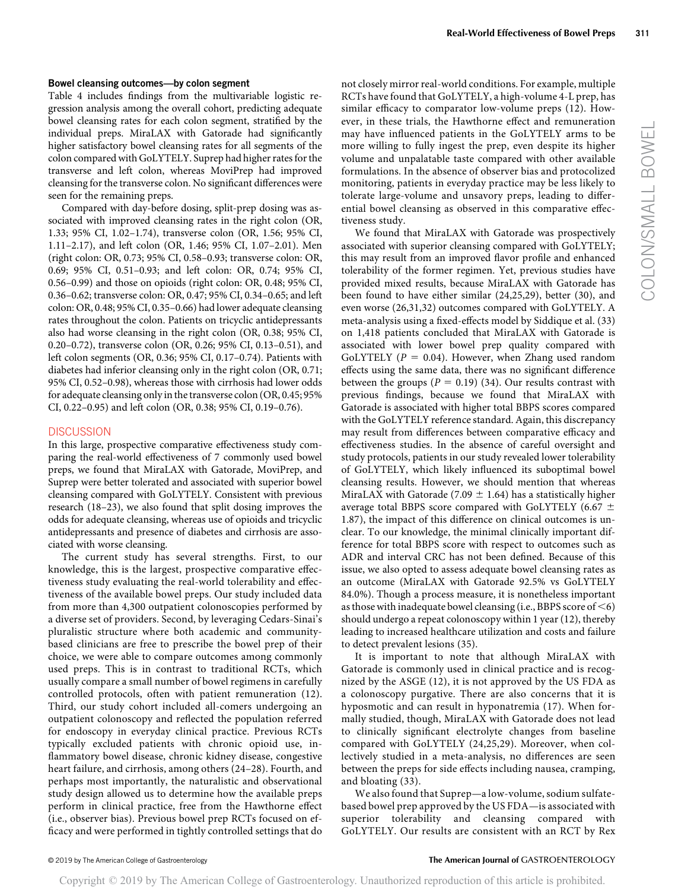# Bowel cleansing outcomes—by colon segment

Table 4 includes findings from the multivariable logistic regression analysis among the overall cohort, predicting adequate bowel cleansing rates for each colon segment, stratified by the individual preps. MiraLAX with Gatorade had significantly higher satisfactory bowel cleansing rates for all segments of the colon compared with GoLYTELY. Suprep had higher rates for the transverse and left colon, whereas MoviPrep had improved cleansing for the transverse colon. No significant differences were seen for the remaining preps.

Compared with day-before dosing, split-prep dosing was associated with improved cleansing rates in the right colon (OR, 1.33; 95% CI, 1.02–1.74), transverse colon (OR, 1.56; 95% CI, 1.11–2.17), and left colon (OR, 1.46; 95% CI, 1.07–2.01). Men (right colon: OR, 0.73; 95% CI, 0.58–0.93; transverse colon: OR, 0.69; 95% CI, 0.51–0.93; and left colon: OR, 0.74; 95% CI, 0.56–0.99) and those on opioids (right colon: OR, 0.48; 95% CI, 0.36–0.62; transverse colon: OR, 0.47; 95% CI, 0.34–0.65; and left colon: OR, 0.48; 95% CI, 0.35–0.66) had lower adequate cleansing rates throughout the colon. Patients on tricyclic antidepressants also had worse cleansing in the right colon (OR, 0.38; 95% CI, 0.20–0.72), transverse colon (OR, 0.26; 95% CI, 0.13–0.51), and left colon segments (OR, 0.36; 95% CI, 0.17–0.74). Patients with diabetes had inferior cleansing only in the right colon (OR, 0.71; 95% CI, 0.52–0.98), whereas those with cirrhosis had lower odds for adequate cleansing only in the transverse colon (OR, 0.45; 95% CI, 0.22–0.95) and left colon (OR, 0.38; 95% CI, 0.19–0.76).

# **DISCUSSION**

In this large, prospective comparative effectiveness study comparing the real-world effectiveness of 7 commonly used bowel preps, we found that MiraLAX with Gatorade, MoviPrep, and Suprep were better tolerated and associated with superior bowel cleansing compared with GoLYTELY. Consistent with previous research (18–23), we also found that split dosing improves the odds for adequate cleansing, whereas use of opioids and tricyclic antidepressants and presence of diabetes and cirrhosis are associated with worse cleansing.

The current study has several strengths. First, to our knowledge, this is the largest, prospective comparative effectiveness study evaluating the real-world tolerability and effectiveness of the available bowel preps. Our study included data from more than 4,300 outpatient colonoscopies performed by a diverse set of providers. Second, by leveraging Cedars-Sinai's pluralistic structure where both academic and communitybased clinicians are free to prescribe the bowel prep of their choice, we were able to compare outcomes among commonly used preps. This is in contrast to traditional RCTs, which usually compare a small number of bowel regimens in carefully controlled protocols, often with patient remuneration (12). Third, our study cohort included all-comers undergoing an outpatient colonoscopy and reflected the population referred for endoscopy in everyday clinical practice. Previous RCTs typically excluded patients with chronic opioid use, inflammatory bowel disease, chronic kidney disease, congestive heart failure, and cirrhosis, among others (24–28). Fourth, and perhaps most importantly, the naturalistic and observational study design allowed us to determine how the available preps perform in clinical practice, free from the Hawthorne effect (i.e., observer bias). Previous bowel prep RCTs focused on efficacy and were performed in tightly controlled settings that do

not closely mirror real-world conditions. For example, multiple RCTs have found that GoLYTELY, a high-volume 4-L prep, has similar efficacy to comparator low-volume preps (12). However, in these trials, the Hawthorne effect and remuneration may have influenced patients in the GoLYTELY arms to be more willing to fully ingest the prep, even despite its higher volume and unpalatable taste compared with other available formulations. In the absence of observer bias and protocolized monitoring, patients in everyday practice may be less likely to tolerate large-volume and unsavory preps, leading to differential bowel cleansing as observed in this comparative effectiveness study.

We found that MiraLAX with Gatorade was prospectively associated with superior cleansing compared with GoLYTELY; this may result from an improved flavor profile and enhanced tolerability of the former regimen. Yet, previous studies have provided mixed results, because MiraLAX with Gatorade has been found to have either similar (24,25,29), better (30), and even worse (26,31,32) outcomes compared with GoLYTELY. A meta-analysis using a fixed-effects model by Siddique et al. (33) on 1,418 patients concluded that MiraLAX with Gatorade is associated with lower bowel prep quality compared with GoLYTELY ( $P = 0.04$ ). However, when Zhang used random effects using the same data, there was no significant difference between the groups ( $P = 0.19$ ) (34). Our results contrast with previous findings, because we found that MiraLAX with Gatorade is associated with higher total BBPS scores compared with the GoLYTELY reference standard. Again, this discrepancy may result from differences between comparative efficacy and effectiveness studies. In the absence of careful oversight and study protocols, patients in our study revealed lower tolerability of GoLYTELY, which likely influenced its suboptimal bowel cleansing results. However, we should mention that whereas MiraLAX with Gatorade (7.09  $\pm$  1.64) has a statistically higher average total BBPS score compared with GoLYTELY (6.67  $\pm$ 1.87), the impact of this difference on clinical outcomes is unclear. To our knowledge, the minimal clinically important difference for total BBPS score with respect to outcomes such as ADR and interval CRC has not been defined. Because of this issue, we also opted to assess adequate bowel cleansing rates as an outcome (MiraLAX with Gatorade 92.5% vs GoLYTELY 84.0%). Though a process measure, it is nonetheless important as those with inadequate bowel cleansing (i.e., BBPS score of  $\leq$  6) should undergo a repeat colonoscopy within 1 year (12), thereby leading to increased healthcare utilization and costs and failure to detect prevalent lesions (35).

It is important to note that although MiraLAX with Gatorade is commonly used in clinical practice and is recognized by the ASGE (12), it is not approved by the US FDA as a colonoscopy purgative. There are also concerns that it is hyposmotic and can result in hyponatremia (17). When formally studied, though, MiraLAX with Gatorade does not lead to clinically significant electrolyte changes from baseline compared with GoLYTELY (24,25,29). Moreover, when collectively studied in a meta-analysis, no differences are seen between the preps for side effects including nausea, cramping, and bloating (33).

We also found that Suprep—a low-volume, sodium sulfatebased bowel prep approved by the US FDA—is associated with superior tolerability and cleansing compared with GoLYTELY. Our results are consistent with an RCT by Rex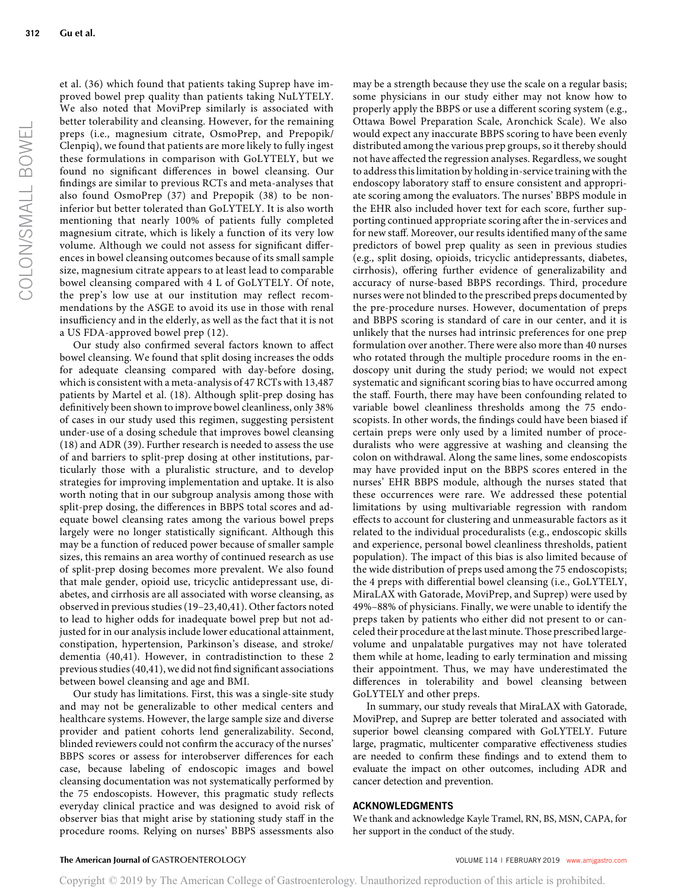et al. (36) which found that patients taking Suprep have improved bowel prep quality than patients taking NuLYTELY. We also noted that MoviPrep similarly is associated with better tolerability and cleansing. However, for the remaining preps (i.e., magnesium citrate, OsmoPrep, and Prepopik/ Clenpiq), we found that patients are more likely to fully ingest these formulations in comparison with GoLYTELY, but we found no significant differences in bowel cleansing. Our findings are similar to previous RCTs and meta-analyses that also found OsmoPrep (37) and Prepopik (38) to be noninferior but better tolerated than GoLYTELY. It is also worth mentioning that nearly 100% of patients fully completed magnesium citrate, which is likely a function of its very low volume. Although we could not assess for significant differences in bowel cleansing outcomes because of its small sample size, magnesium citrate appears to at least lead to comparable bowel cleansing compared with 4 L of GoLYTELY. Of note, the prep's low use at our institution may reflect recommendations by the ASGE to avoid its use in those with renal insufficiency and in the elderly, as well as the fact that it is not a US FDA-approved bowel prep (12).

Our study also confirmed several factors known to affect bowel cleansing. We found that split dosing increases the odds for adequate cleansing compared with day-before dosing, which is consistent with a meta-analysis of 47 RCTs with 13,487 patients by Martel et al. (18). Although split-prep dosing has definitively been shown to improve bowel cleanliness, only 38% of cases in our study used this regimen, suggesting persistent under-use of a dosing schedule that improves bowel cleansing (18) and ADR (39). Further research is needed to assess the use of and barriers to split-prep dosing at other institutions, particularly those with a pluralistic structure, and to develop strategies for improving implementation and uptake. It is also worth noting that in our subgroup analysis among those with split-prep dosing, the differences in BBPS total scores and adequate bowel cleansing rates among the various bowel preps largely were no longer statistically significant. Although this may be a function of reduced power because of smaller sample sizes, this remains an area worthy of continued research as use of split-prep dosing becomes more prevalent. We also found that male gender, opioid use, tricyclic antidepressant use, diabetes, and cirrhosis are all associated with worse cleansing, as observed in previous studies (19–23,40,41). Other factors noted to lead to higher odds for inadequate bowel prep but not adjusted for in our analysis include lower educational attainment, constipation, hypertension, Parkinson's disease, and stroke/ dementia (40,41). However, in contradistinction to these 2 previous studies (40,41), we did not find significant associations between bowel cleansing and age and BMI.

Our study has limitations. First, this was a single-site study and may not be generalizable to other medical centers and healthcare systems. However, the large sample size and diverse provider and patient cohorts lend generalizability. Second, blinded reviewers could not confirm the accuracy of the nurses' BBPS scores or assess for interobserver differences for each case, because labeling of endoscopic images and bowel cleansing documentation was not systematically performed by the 75 endoscopists. However, this pragmatic study reflects everyday clinical practice and was designed to avoid risk of observer bias that might arise by stationing study staff in the procedure rooms. Relying on nurses' BBPS assessments also may be a strength because they use the scale on a regular basis; some physicians in our study either may not know how to properly apply the BBPS or use a different scoring system (e.g., Ottawa Bowel Preparation Scale, Aronchick Scale). We also would expect any inaccurate BBPS scoring to have been evenly distributed among the various prep groups, so it thereby should not have affected the regression analyses. Regardless, we sought to address this limitation by holding in-service training with the endoscopy laboratory staff to ensure consistent and appropriate scoring among the evaluators. The nurses' BBPS module in the EHR also included hover text for each score, further supporting continued appropriate scoring after the in-services and for new staff. Moreover, our results identified many of the same predictors of bowel prep quality as seen in previous studies (e.g., split dosing, opioids, tricyclic antidepressants, diabetes, cirrhosis), offering further evidence of generalizability and accuracy of nurse-based BBPS recordings. Third, procedure nurses were not blinded to the prescribed preps documented by the pre-procedure nurses. However, documentation of preps and BBPS scoring is standard of care in our center, and it is unlikely that the nurses had intrinsic preferences for one prep formulation over another. There were also more than 40 nurses who rotated through the multiple procedure rooms in the endoscopy unit during the study period; we would not expect systematic and significant scoring bias to have occurred among the staff. Fourth, there may have been confounding related to variable bowel cleanliness thresholds among the 75 endoscopists. In other words, the findings could have been biased if certain preps were only used by a limited number of proceduralists who were aggressive at washing and cleansing the colon on withdrawal. Along the same lines, some endoscopists may have provided input on the BBPS scores entered in the nurses' EHR BBPS module, although the nurses stated that these occurrences were rare. We addressed these potential limitations by using multivariable regression with random effects to account for clustering and unmeasurable factors as it related to the individual proceduralists (e.g., endoscopic skills and experience, personal bowel cleanliness thresholds, patient population). The impact of this bias is also limited because of the wide distribution of preps used among the 75 endoscopists; the 4 preps with differential bowel cleansing (i.e., GoLYTELY, MiraLAX with Gatorade, MoviPrep, and Suprep) were used by 49%–88% of physicians. Finally, we were unable to identify the preps taken by patients who either did not present to or canceled their procedure at the last minute. Those prescribed largevolume and unpalatable purgatives may not have tolerated them while at home, leading to early termination and missing their appointment. Thus, we may have underestimated the differences in tolerability and bowel cleansing between GoLYTELY and other preps.

In summary, our study reveals that MiraLAX with Gatorade, MoviPrep, and Suprep are better tolerated and associated with superior bowel cleansing compared with GoLYTELY. Future large, pragmatic, multicenter comparative effectiveness studies are needed to confirm these findings and to extend them to evaluate the impact on other outcomes, including ADR and cancer detection and prevention.

### ACKNOWLEDGMENTS

We thank and acknowledge Kayle Tramel, RN, BS, MSN, CAPA, for her support in the conduct of the study.

### The American Journal of GASTROENTEROLOGY **And American Journal of GASTROENTEROLOGY VOLUME 114 | FEBRUARY 2019** [www.amjgastro.com](http://www.amjgastro.com)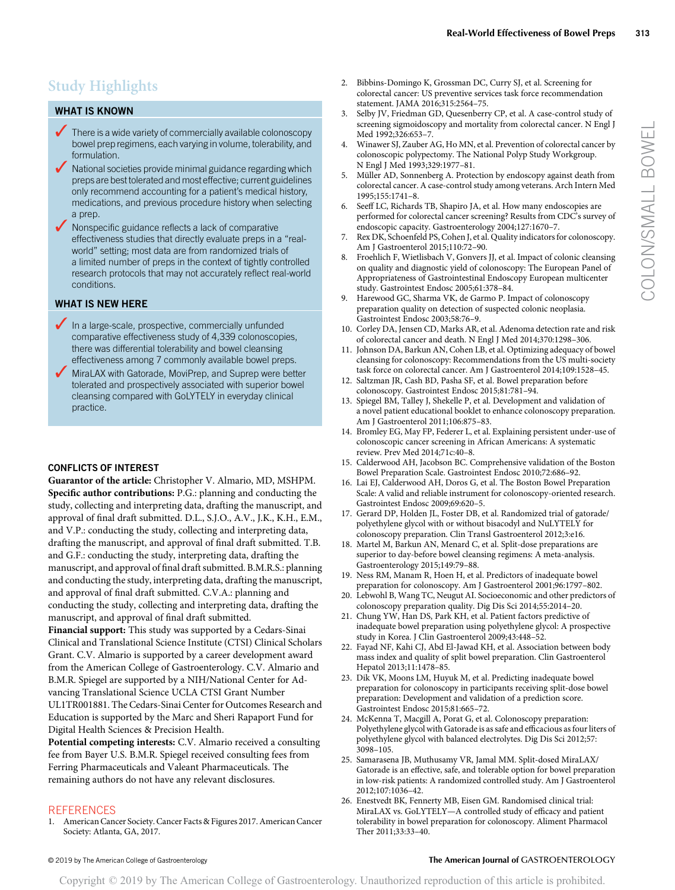# Study Highlights

# WHAT IS KNOWN

- There is a wide variety of commercially available colonoscopy bowel prep regimens, each varying in volume, tolerability, and formulation.
- $\bigvee$  National societies provide minimal guidance regarding which preps are best tolerated and most effective; current guidelines only recommend accounting for a patient's medical history, medications, and previous procedure history when selecting a prep.
- $\blacklozenge$  Nonspecific guidance reflects a lack of comparative effectiveness studies that directly evaluate preps in a "realworld" setting; most data are from randomized trials of a limited number of preps in the context of tightly controlled research protocols that may not accurately reflect real-world conditions.

## WHAT IS NEW HERE

- $\sqrt{\ }$  In a large-scale, prospective, commercially unfunded comparative effectiveness study of 4,339 colonoscopies, there was differential tolerability and bowel cleansing effectiveness among 7 commonly available bowel preps.
- MiraLAX with Gatorade, MoviPrep, and Suprep were better tolerated and prospectively associated with superior bowel cleansing compared with GoLYTELY in everyday clinical practice.

### CONFLICTS OF INTEREST

Guarantor of the article: Christopher V. Almario, MD, MSHPM. Specific author contributions: P.G.: planning and conducting the study, collecting and interpreting data, drafting the manuscript, and approval of final draft submitted. D.L., S.J.O., A.V., J.K., K.H., E.M., and V.P.: conducting the study, collecting and interpreting data, drafting the manuscript, and approval of final draft submitted. T.B. and G.F.: conducting the study, interpreting data, drafting the manuscript, and approval of final draft submitted. B.M.R.S.: planning and conducting the study, interpreting data, drafting the manuscript, and approval of final draft submitted. C.V.A.: planning and conducting the study, collecting and interpreting data, drafting the manuscript, and approval of final draft submitted.

Financial support: This study was supported by a Cedars-Sinai Clinical and Translational Science Institute (CTSI) Clinical Scholars Grant. C.V. Almario is supported by a career development award from the American College of Gastroenterology. C.V. Almario and B.M.R. Spiegel are supported by a NIH/National Center for Advancing Translational Science UCLA CTSI Grant Number UL1TR001881. The Cedars-Sinai Center for Outcomes Research and Education is supported by the Marc and Sheri Rapaport Fund for Digital Health Sciences & Precision Health.

Potential competing interests: C.V. Almario received a consulting fee from Bayer U.S. B.M.R. Spiegel received consulting fees from Ferring Pharmaceuticals and Valeant Pharmaceuticals. The remaining authors do not have any relevant disclosures.

# **REFERENCES**

1. American Cancer Society. Cancer Facts & Figures 2017. American Cancer Society: Atlanta, GA, 2017.

- 2. Bibbins-Domingo K, Grossman DC, Curry SJ, et al. Screening for colorectal cancer: US preventive services task force recommendation statement. JAMA 2016;315:2564–75.
- 3. Selby JV, Friedman GD, Quesenberry CP, et al. A case-control study of screening sigmoidoscopy and mortality from colorectal cancer. N Engl J Med 1992;326:653–7.
- Winawer SJ, Zauber AG, Ho MN, et al. Prevention of colorectal cancer by colonoscopic polypectomy. The National Polyp Study Workgroup. N Engl J Med 1993;329:1977–81.
- Müller AD, Sonnenberg A. Protection by endoscopy against death from colorectal cancer. A case-control study among veterans. Arch Intern Med 1995;155:1741–8.
- 6. Seeff LC, Richards TB, Shapiro JA, et al. How many endoscopies are performed for colorectal cancer screening? Results from CDC's survey of endoscopic capacity. Gastroenterology 2004;127:1670–7.
- 7. Rex DK, Schoenfeld PS, Cohen J, et al. Quality indicators for colonoscopy. Am J Gastroenterol 2015;110:72–90.
- 8. Froehlich F, Wietlisbach V, Gonvers JJ, et al. Impact of colonic cleansing on quality and diagnostic yield of colonoscopy: The European Panel of Appropriateness of Gastrointestinal Endoscopy European multicenter study. Gastrointest Endosc 2005;61:378–84.
- 9. Harewood GC, Sharma VK, de Garmo P. Impact of colonoscopy preparation quality on detection of suspected colonic neoplasia. Gastrointest Endosc 2003;58:76–9.
- 10. Corley DA, Jensen CD, Marks AR, et al. Adenoma detection rate and risk of colorectal cancer and death. N Engl J Med 2014;370:1298–306.
- 11. Johnson DA, Barkun AN, Cohen LB, et al. Optimizing adequacy of bowel cleansing for colonoscopy: Recommendations from the US multi-society task force on colorectal cancer. Am J Gastroenterol 2014;109:1528–45.
- 12. Saltzman JR, Cash BD, Pasha SF, et al. Bowel preparation before colonoscopy. Gastrointest Endosc 2015;81:781–94.
- 13. Spiegel BM, Talley J, Shekelle P, et al. Development and validation of a novel patient educational booklet to enhance colonoscopy preparation. Am J Gastroenterol 2011;106:875–83.
- 14. Bromley EG, May FP, Federer L, et al. Explaining persistent under-use of colonoscopic cancer screening in African Americans: A systematic review. Prev Med 2014;71c:40–8.
- 15. Calderwood AH, Jacobson BC. Comprehensive validation of the Boston Bowel Preparation Scale. Gastrointest Endosc 2010;72:686–92.
- 16. Lai EJ, Calderwood AH, Doros G, et al. The Boston Bowel Preparation Scale: A valid and reliable instrument for colonoscopy-oriented research. Gastrointest Endosc 2009;69:620–5.
- 17. Gerard DP, Holden JL, Foster DB, et al. Randomized trial of gatorade/ polyethylene glycol with or without bisacodyl and NuLYTELY for colonoscopy preparation. Clin Transl Gastroenterol 2012;3:e16.
- 18. Martel M, Barkun AN, Menard C, et al. Split-dose preparations are superior to day-before bowel cleansing regimens: A meta-analysis. Gastroenterology 2015;149:79–88.
- 19. Ness RM, Manam R, Hoen H, et al. Predictors of inadequate bowel preparation for colonoscopy. Am J Gastroenterol 2001;96:1797–802.
- 20. Lebwohl B, Wang TC, Neugut AI. Socioeconomic and other predictors of colonoscopy preparation quality. Dig Dis Sci 2014;55:2014–20.
- 21. Chung YW, Han DS, Park KH, et al. Patient factors predictive of inadequate bowel preparation using polyethylene glycol: A prospective study in Korea. J Clin Gastroenterol 2009;43:448–52.
- 22. Fayad NF, Kahi CJ, Abd El-Jawad KH, et al. Association between body mass index and quality of split bowel preparation. Clin Gastroenterol Hepatol 2013;11:1478–85.
- 23. Dik VK, Moons LM, Huyuk M, et al. Predicting inadequate bowel preparation for colonoscopy in participants receiving split-dose bowel preparation: Development and validation of a prediction score. Gastrointest Endosc 2015;81:665–72.
- 24. McKenna T, Macgill A, Porat G, et al. Colonoscopy preparation: Polyethylene glycol with Gatorade is as safe and efficacious as four liters of polyethylene glycol with balanced electrolytes. Dig Dis Sci 2012;57: 3098–105.
- 25. Samarasena JB, Muthusamy VR, Jamal MM. Split-dosed MiraLAX/ Gatorade is an effective, safe, and tolerable option for bowel preparation in low-risk patients: A randomized controlled study. Am J Gastroenterol 2012;107:1036–42.
- 26. Enestvedt BK, Fennerty MB, Eisen GM. Randomised clinical trial: MiraLAX vs. GoLYTELY—A controlled study of efficacy and patient tolerability in bowel preparation for colonoscopy. Aliment Pharmacol Ther 2011;33:33–40.

### © 2019 by The American College of Gastroenterology The American Journal of GASTROENTEROLOGY